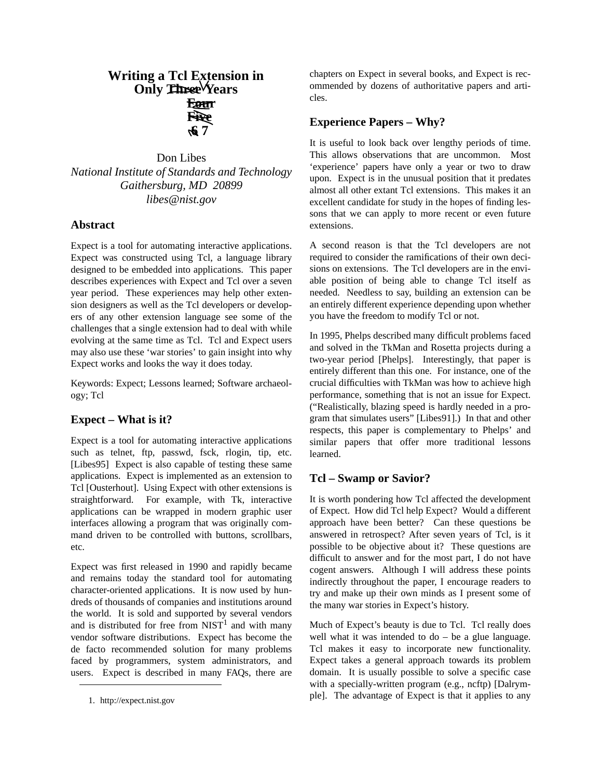# **Writing a Tcl Extension in Only Three Years Four Five 6 7**

# Don Libes *National Institute of Standards and Technology Gaithersburg, MD 20899 libes@nist.gov*

### **Abstract**

Expect is a tool for automating interactive applications. Expect was constructed using Tcl, a language library designed to be embedded into applications. This paper describes experiences with Expect and Tcl over a seven year period. These experiences may help other extension designers as well as the Tcl developers or developers of any other extension language see some of the challenges that a single extension had to deal with while evolving at the same time as Tcl. Tcl and Expect users may also use these 'war stories' to gain insight into why Expect works and looks the way it does today.

Keywords: Expect; Lessons learned; Software archaeology; Tcl

## **Expect – What is it?**

Expect is a tool for automating interactive applications such as telnet, ftp, passwd, fsck, rlogin, tip, etc. [Libes95] Expect is also capable of testing these same applications. Expect is implemented as an extension to Tcl [Ousterhout]. Using Expect with other extensions is straightforward. For example, with Tk, interactive applications can be wrapped in modern graphic user interfaces allowing a program that was originally command driven to be controlled with buttons, scrollbars, etc.

Expect was first released in 1990 and rapidly became and remains today the standard tool for automating character-oriented applications. It is now used by hundreds of thousands of companies and institutions around the world. It is sold and supported by several vendors and is distributed for free from  $NIST<sup>1</sup>$  and with many vendor software distributions. Expect has become the de facto recommended solution for many problems faced by programmers, system administrators, and users. Expect is described in many FAQs, there are

chapters on Expect in several books, and Expect is recommended by dozens of authoritative papers and articles.

#### **Experience Papers – Why?**

It is useful to look back over lengthy periods of time. This allows observations that are uncommon. Most 'experience' papers have only a year or two to draw upon. Expect is in the unusual position that it predates almost all other extant Tcl extensions. This makes it an excellent candidate for study in the hopes of finding lessons that we can apply to more recent or even future extensions.

A second reason is that the Tcl developers are not required to consider the ramifications of their own decisions on extensions. The Tcl developers are in the enviable position of being able to change Tcl itself as needed. Needless to say, building an extension can be an entirely different experience depending upon whether you have the freedom to modify Tcl or not.

In 1995, Phelps described many difficult problems faced and solved in the TkMan and Rosetta projects during a two-year period [Phelps]. Interestingly, that paper is entirely different than this one. For instance, one of the crucial difficulties with TkMan was how to achieve high performance, something that is not an issue for Expect. ("Realistically, blazing speed is hardly needed in a program that simulates users" [Libes91].) In that and other respects, this paper is complementary to Phelps' and similar papers that offer more traditional lessons learned.

## **Tcl – Swamp or Savior?**

It is worth pondering how Tcl affected the development of Expect. How did Tcl help Expect? Would a different approach have been better? Can these questions be answered in retrospect? After seven years of Tcl, is it possible to be objective about it? These questions are difficult to answer and for the most part, I do not have cogent answers. Although I will address these points indirectly throughout the paper, I encourage readers to try and make up their own minds as I present some of the many war stories in Expect's history.

Much of Expect's beauty is due to Tcl. Tcl really does well what it was intended to  $do - be$  a glue language. Tcl makes it easy to incorporate new functionality. Expect takes a general approach towards its problem domain. It is usually possible to solve a specific case with a specially-written program (e.g., ncftp) [Dalrymple]. The advantage of Expect is that it applies to any

<sup>1.</sup> http://expect.nist.gov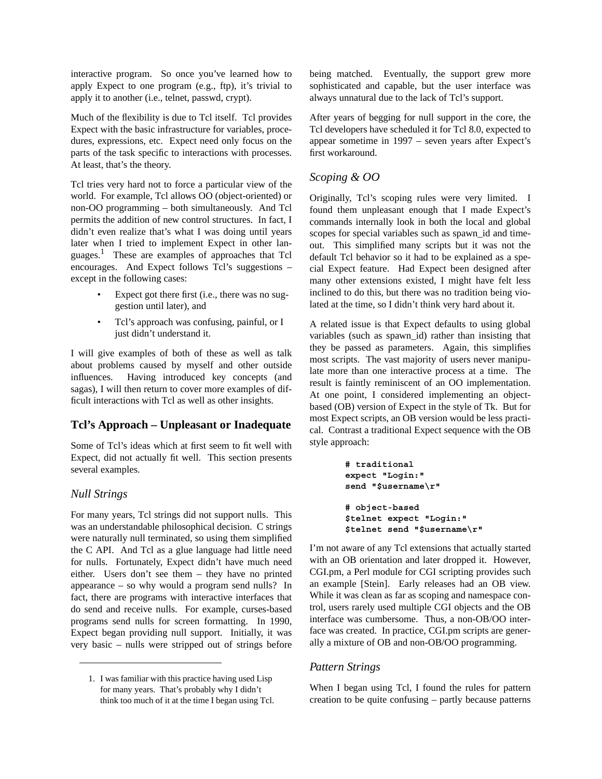interactive program. So once you've learned how to apply Expect to one program (e.g., ftp), it's trivial to apply it to another (i.e., telnet, passwd, crypt).

Much of the flexibility is due to Tcl itself. Tcl provides Expect with the basic infrastructure for variables, procedures, expressions, etc. Expect need only focus on the parts of the task specific to interactions with processes. At least, that's the theory.

Tcl tries very hard not to force a particular view of the world. For example, Tcl allows OO (object-oriented) or non-OO programming – both simultaneously. And Tcl permits the addition of new control structures. In fact, I didn't even realize that's what I was doing until years later when I tried to implement Expect in other languages.1 These are examples of approaches that Tcl encourages. And Expect follows Tcl's suggestions – except in the following cases:

- Expect got there first (i.e., there was no suggestion until later), and
- Tcl's approach was confusing, painful, or I just didn't understand it.

I will give examples of both of these as well as talk about problems caused by myself and other outside influences. Having introduced key concepts (and sagas), I will then return to cover more examples of difficult interactions with Tcl as well as other insights.

## **Tcl's Approach – Unpleasant or Inadequate**

Some of Tcl's ideas which at first seem to fit well with Expect, did not actually fit well. This section presents several examples.

#### *Null Strings*

For many years, Tcl strings did not support nulls. This was an understandable philosophical decision. C strings were naturally null terminated, so using them simplified the C API. And Tcl as a glue language had little need for nulls. Fortunately, Expect didn't have much need either. Users don't see them – they have no printed appearance – so why would a program send nulls? In fact, there are programs with interactive interfaces that do send and receive nulls. For example, curses-based programs send nulls for screen formatting. In 1990, Expect began providing null support. Initially, it was very basic – nulls were stripped out of strings before

being matched. Eventually, the support grew more sophisticated and capable, but the user interface was always unnatural due to the lack of Tcl's support.

After years of begging for null support in the core, the Tcl developers have scheduled it for Tcl 8.0, expected to appear sometime in 1997 – seven years after Expect's first workaround.

#### *Scoping & OO*

Originally, Tcl's scoping rules were very limited. I found them unpleasant enough that I made Expect's commands internally look in both the local and global scopes for special variables such as spawn\_id and timeout. This simplified many scripts but it was not the default Tcl behavior so it had to be explained as a special Expect feature. Had Expect been designed after many other extensions existed, I might have felt less inclined to do this, but there was no tradition being violated at the time, so I didn't think very hard about it.

A related issue is that Expect defaults to using global variables (such as spawn\_id) rather than insisting that they be passed as parameters. Again, this simplifies most scripts. The vast majority of users never manipulate more than one interactive process at a time. The result is faintly reminiscent of an OO implementation. At one point, I considered implementing an objectbased (OB) version of Expect in the style of Tk. But for most Expect scripts, an OB version would be less practical. Contrast a traditional Expect sequence with the OB style approach:

**# traditional expect "Login:" send "\$username\r" # object-based \$telnet expect "Login:" \$telnet send "\$username\r"**

I'm not aware of any Tcl extensions that actually started with an OB orientation and later dropped it. However, CGI.pm, a Perl module for CGI scripting provides such an example [Stein]. Early releases had an OB view. While it was clean as far as scoping and namespace control, users rarely used multiple CGI objects and the OB interface was cumbersome. Thus, a non-OB/OO interface was created. In practice, CGI.pm scripts are generally a mixture of OB and non-OB/OO programming.

#### *Pattern Strings*

When I began using Tcl, I found the rules for pattern creation to be quite confusing – partly because patterns

<sup>1.</sup> I was familiar with this practice having used Lisp for many years. That's probably why I didn't think too much of it at the time I began using Tcl.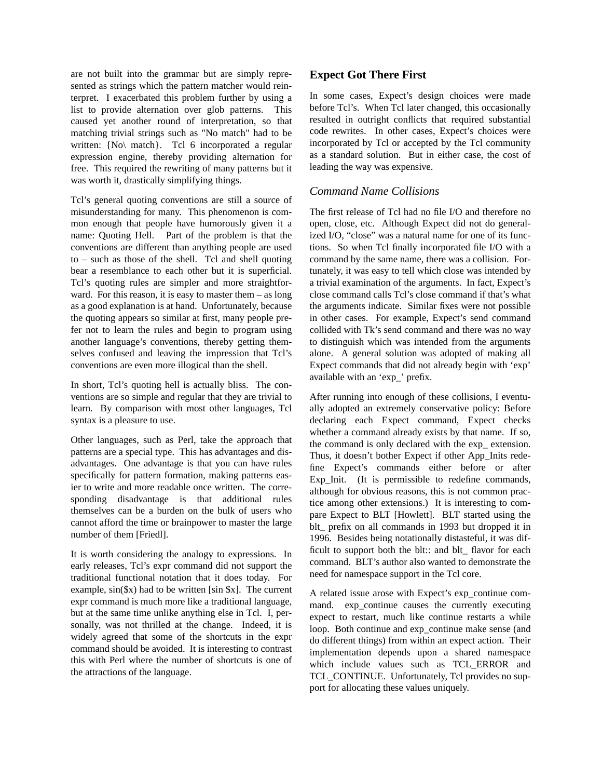are not built into the grammar but are simply represented as strings which the pattern matcher would reinterpret. I exacerbated this problem further by using a list to provide alternation over glob patterns. This caused yet another round of interpretation, so that matching trivial strings such as "No match" had to be written: {No\ match}. Tcl 6 incorporated a regular expression engine, thereby providing alternation for free. This required the rewriting of many patterns but it was worth it, drastically simplifying things.

Tcl's general quoting conventions are still a source of misunderstanding for many. This phenomenon is common enough that people have humorously given it a name: Quoting Hell. Part of the problem is that the conventions are different than anything people are used to – such as those of the shell. Tcl and shell quoting bear a resemblance to each other but it is superficial. Tcl's quoting rules are simpler and more straightforward. For this reason, it is easy to master them – as long as a good explanation is at hand. Unfortunately, because the quoting appears so similar at first, many people prefer not to learn the rules and begin to program using another language's conventions, thereby getting themselves confused and leaving the impression that Tcl's conventions are even more illogical than the shell.

In short, Tcl's quoting hell is actually bliss. The conventions are so simple and regular that they are trivial to learn. By comparison with most other languages, Tcl syntax is a pleasure to use.

Other languages, such as Perl, take the approach that patterns are a special type. This has advantages and disadvantages. One advantage is that you can have rules specifically for pattern formation, making patterns easier to write and more readable once written. The corresponding disadvantage is that additional rules themselves can be a burden on the bulk of users who cannot afford the time or brainpower to master the large number of them [Friedl].

It is worth considering the analogy to expressions. In early releases, Tcl's expr command did not support the traditional functional notation that it does today. For example, sin(\$x) had to be written [sin \$x]. The current expr command is much more like a traditional language, but at the same time unlike anything else in Tcl. I, personally, was not thrilled at the change. Indeed, it is widely agreed that some of the shortcuts in the expr command should be avoided. It is interesting to contrast this with Perl where the number of shortcuts is one of the attractions of the language.

### **Expect Got There First**

In some cases, Expect's design choices were made before Tcl's. When Tcl later changed, this occasionally resulted in outright conflicts that required substantial code rewrites. In other cases, Expect's choices were incorporated by Tcl or accepted by the Tcl community as a standard solution. But in either case, the cost of leading the way was expensive.

#### *Command Name Collisions*

The first release of Tcl had no file I/O and therefore no open, close, etc. Although Expect did not do generalized I/O, "close" was a natural name for one of its functions. So when Tcl finally incorporated file I/O with a command by the same name, there was a collision. Fortunately, it was easy to tell which close was intended by a trivial examination of the arguments. In fact, Expect's close command calls Tcl's close command if that's what the arguments indicate. Similar fixes were not possible in other cases. For example, Expect's send command collided with Tk's send command and there was no way to distinguish which was intended from the arguments alone. A general solution was adopted of making all Expect commands that did not already begin with 'exp' available with an 'exp\_' prefix.

After running into enough of these collisions, I eventually adopted an extremely conservative policy: Before declaring each Expect command, Expect checks whether a command already exists by that name. If so, the command is only declared with the exp\_ extension. Thus, it doesn't bother Expect if other App\_Inits redefine Expect's commands either before or after Exp\_Init. (It is permissible to redefine commands, although for obvious reasons, this is not common practice among other extensions.) It is interesting to compare Expect to BLT [Howlett]. BLT started using the blt\_ prefix on all commands in 1993 but dropped it in 1996. Besides being notationally distasteful, it was difficult to support both the blt:: and blt\_ flavor for each command. BLT's author also wanted to demonstrate the need for namespace support in the Tcl core.

A related issue arose with Expect's exp\_continue command. exp\_continue causes the currently executing expect to restart, much like continue restarts a while loop. Both continue and exp\_continue make sense (and do different things) from within an expect action. Their implementation depends upon a shared namespace which include values such as TCL\_ERROR and TCL\_CONTINUE. Unfortunately, Tcl provides no support for allocating these values uniquely.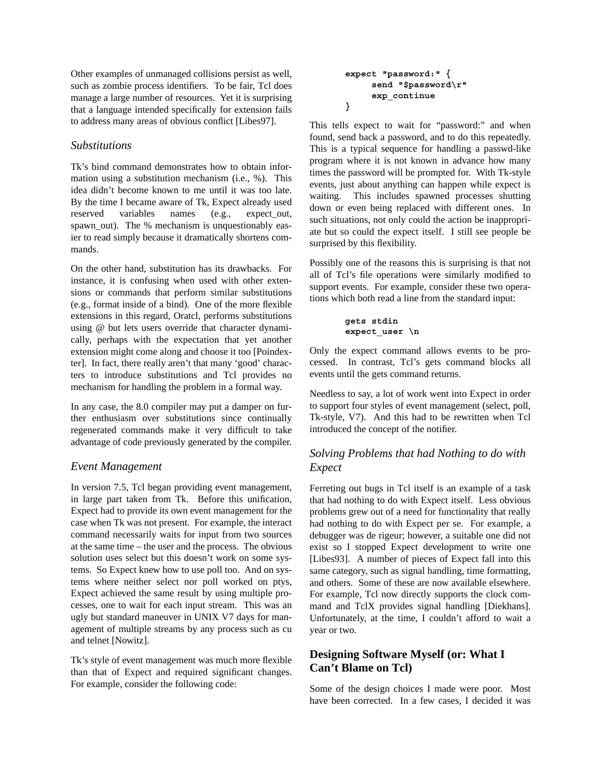Other examples of unmanaged collisions persist as well, such as zombie process identifiers. To be fair, Tcl does manage a large number of resources. Yet it is surprising that a language intended specifically for extension fails to address many areas of obvious conflict [Libes97].

#### *Substitutions*

Tk's bind command demonstrates how to obtain information using a substitution mechanism (i.e., %). This idea didn't become known to me until it was too late. By the time I became aware of Tk, Expect already used reserved variables names (e.g., expect out, spawn out). The % mechanism is unquestionably easier to read simply because it dramatically shortens commands.

On the other hand, substitution has its drawbacks. For instance, it is confusing when used with other extensions or commands that perform similar substitutions (e.g., format inside of a bind). One of the more flexible extensions in this regard, Oratcl, performs substitutions using @ but lets users override that character dynamically, perhaps with the expectation that yet another extension might come along and choose it too [Poindexter]. In fact, there really aren't that many 'good' characters to introduce substitutions and Tcl provides no mechanism for handling the problem in a formal way.

In any case, the 8.0 compiler may put a damper on further enthusiasm over substitutions since continually regenerated commands make it very difficult to take advantage of code previously generated by the compiler.

#### *Event Management*

In version 7.5, Tcl began providing event management, in large part taken from Tk. Before this unification, Expect had to provide its own event management for the case when Tk was not present. For example, the interact command necessarily waits for input from two sources at the same time – the user and the process. The obvious solution uses select but this doesn't work on some systems. So Expect knew how to use poll too. And on systems where neither select nor poll worked on ptys, Expect achieved the same result by using multiple processes, one to wait for each input stream. This was an ugly but standard maneuver in UNIX V7 days for management of multiple streams by any process such as cu and telnet [Nowitz].

Tk's style of event management was much more flexible than that of Expect and required significant changes. For example, consider the following code:

**expect "password:" { send "\$password\r" exp\_continue }**

This tells expect to wait for "password:" and when found, send back a password, and to do this repeatedly. This is a typical sequence for handling a passwd-like program where it is not known in advance how many times the password will be prompted for. With Tk-style events, just about anything can happen while expect is waiting. This includes spawned processes shutting down or even being replaced with different ones. In such situations, not only could the action be inappropriate but so could the expect itself. I still see people be surprised by this flexibility.

Possibly one of the reasons this is surprising is that not all of Tcl's file operations were similarly modified to support events. For example, consider these two operations which both read a line from the standard input:

**gets stdin expect\_user \n**

Only the expect command allows events to be processed. In contrast, Tcl's gets command blocks all events until the gets command returns.

Needless to say, a lot of work went into Expect in order to support four styles of event management (select, poll, Tk-style, V7). And this had to be rewritten when Tcl introduced the concept of the notifier.

## *Solving Problems that had Nothing to do with Expect*

Ferreting out bugs in Tcl itself is an example of a task that had nothing to do with Expect itself. Less obvious problems grew out of a need for functionality that really had nothing to do with Expect per se. For example, a debugger was de rigeur; however, a suitable one did not exist so I stopped Expect development to write one [Libes93]. A number of pieces of Expect fall into this same category, such as signal handling, time formatting, and others. Some of these are now available elsewhere. For example, Tcl now directly supports the clock command and TclX provides signal handling [Diekhans]. Unfortunately, at the time, I couldn't afford to wait a year or two.

# **Designing Software Myself (or: What I Can't Blame on Tcl)**

Some of the design choices I made were poor. Most have been corrected. In a few cases, I decided it was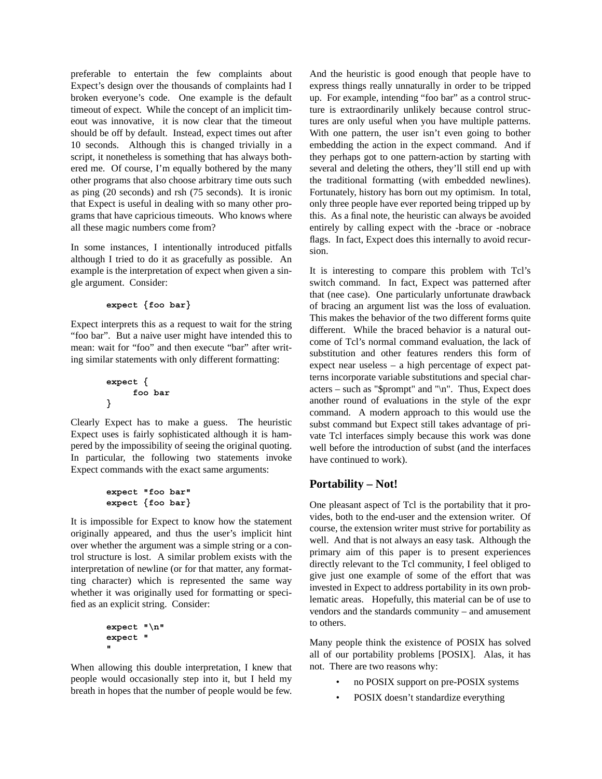preferable to entertain the few complaints about Expect's design over the thousands of complaints had I broken everyone's code. One example is the default timeout of expect. While the concept of an implicit timeout was innovative, it is now clear that the timeout should be off by default. Instead, expect times out after 10 seconds. Although this is changed trivially in a script, it nonetheless is something that has always bothered me. Of course, I'm equally bothered by the many other programs that also choose arbitrary time outs such as ping (20 seconds) and rsh (75 seconds). It is ironic that Expect is useful in dealing with so many other programs that have capricious timeouts. Who knows where all these magic numbers come from?

In some instances, I intentionally introduced pitfalls although I tried to do it as gracefully as possible. An example is the interpretation of expect when given a single argument. Consider:

```
expect {foo bar}
```
Expect interprets this as a request to wait for the string "foo bar". But a naive user might have intended this to mean: wait for "foo" and then execute "bar" after writing similar statements with only different formatting:

$$
\begin{array}{c}\texttt{expect} {\scriptsize\begin{array}{c} \{ \\ \texttt{foo bar} \end{array}}}\end{array}
$$

Clearly Expect has to make a guess. The heuristic Expect uses is fairly sophisticated although it is hampered by the impossibility of seeing the original quoting. In particular, the following two statements invoke Expect commands with the exact same arguments:

**expect "foo bar" expect {foo bar}**

It is impossible for Expect to know how the statement originally appeared, and thus the user's implicit hint over whether the argument was a simple string or a control structure is lost. A similar problem exists with the interpretation of newline (or for that matter, any formatting character) which is represented the same way whether it was originally used for formatting or specified as an explicit string. Consider:

**expect "\n" expect " "**

When allowing this double interpretation, I knew that people would occasionally step into it, but I held my breath in hopes that the number of people would be few. And the heuristic is good enough that people have to express things really unnaturally in order to be tripped up. For example, intending "foo bar" as a control structure is extraordinarily unlikely because control structures are only useful when you have multiple patterns. With one pattern, the user isn't even going to bother embedding the action in the expect command. And if they perhaps got to one pattern-action by starting with several and deleting the others, they'll still end up with the traditional formatting (with embedded newlines). Fortunately, history has born out my optimism. In total, only three people have ever reported being tripped up by this. As a final note, the heuristic can always be avoided entirely by calling expect with the -brace or -nobrace flags. In fact, Expect does this internally to avoid recursion.

It is interesting to compare this problem with Tcl's switch command. In fact, Expect was patterned after that (nee case). One particularly unfortunate drawback of bracing an argument list was the loss of evaluation. This makes the behavior of the two different forms quite different. While the braced behavior is a natural outcome of Tcl's normal command evaluation, the lack of substitution and other features renders this form of expect near useless – a high percentage of expect patterns incorporate variable substitutions and special characters – such as "\$prompt" and "\n". Thus, Expect does another round of evaluations in the style of the expr command. A modern approach to this would use the subst command but Expect still takes advantage of private Tcl interfaces simply because this work was done well before the introduction of subst (and the interfaces have continued to work).

# **Portability – Not!**

One pleasant aspect of Tcl is the portability that it provides, both to the end-user and the extension writer. Of course, the extension writer must strive for portability as well. And that is not always an easy task. Although the primary aim of this paper is to present experiences directly relevant to the Tcl community, I feel obliged to give just one example of some of the effort that was invested in Expect to address portability in its own problematic areas. Hopefully, this material can be of use to vendors and the standards community – and amusement to others.

Many people think the existence of POSIX has solved all of our portability problems [POSIX]. Alas, it has not. There are two reasons why:

- no POSIX support on pre-POSIX systems
- POSIX doesn't standardize everything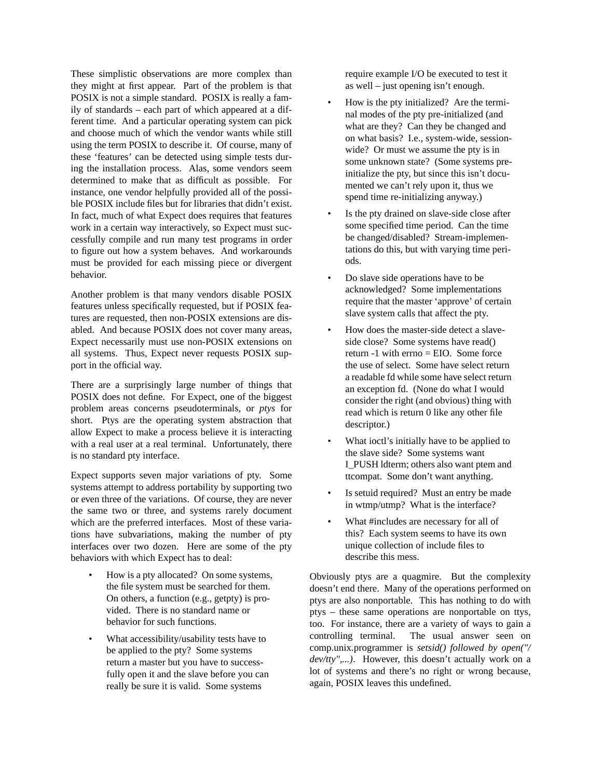These simplistic observations are more complex than they might at first appear. Part of the problem is that POSIX is not a simple standard. POSIX is really a family of standards – each part of which appeared at a different time. And a particular operating system can pick and choose much of which the vendor wants while still using the term POSIX to describe it. Of course, many of these 'features' can be detected using simple tests during the installation process. Alas, some vendors seem determined to make that as difficult as possible. For instance, one vendor helpfully provided all of the possible POSIX include files but for libraries that didn't exist. In fact, much of what Expect does requires that features work in a certain way interactively, so Expect must successfully compile and run many test programs in order to figure out how a system behaves. And workarounds must be provided for each missing piece or divergent behavior.

Another problem is that many vendors disable POSIX features unless specifically requested, but if POSIX features are requested, then non-POSIX extensions are disabled. And because POSIX does not cover many areas, Expect necessarily must use non-POSIX extensions on all systems. Thus, Expect never requests POSIX support in the official way.

There are a surprisingly large number of things that POSIX does not define. For Expect, one of the biggest problem areas concerns pseudoterminals, or *ptys* for short. Ptys are the operating system abstraction that allow Expect to make a process believe it is interacting with a real user at a real terminal. Unfortunately, there is no standard pty interface.

Expect supports seven major variations of pty. Some systems attempt to address portability by supporting two or even three of the variations. Of course, they are never the same two or three, and systems rarely document which are the preferred interfaces. Most of these variations have subvariations, making the number of pty interfaces over two dozen. Here are some of the pty behaviors with which Expect has to deal:

- How is a pty allocated? On some systems, the file system must be searched for them. On others, a function (e.g., getpty) is provided. There is no standard name or behavior for such functions.
- What accessibility/usability tests have to be applied to the pty? Some systems return a master but you have to successfully open it and the slave before you can really be sure it is valid. Some systems

require example I/O be executed to test it as well – just opening isn't enough.

- How is the pty initialized? Are the terminal modes of the pty pre-initialized (and what are they? Can they be changed and on what basis? I.e., system-wide, sessionwide? Or must we assume the pty is in some unknown state? (Some systems preinitialize the pty, but since this isn't documented we can't rely upon it, thus we spend time re-initializing anyway.)
- Is the pty drained on slave-side close after some specified time period. Can the time be changed/disabled? Stream-implementations do this, but with varying time periods.
- Do slave side operations have to be acknowledged? Some implementations require that the master 'approve' of certain slave system calls that affect the pty.
- How does the master-side detect a slaveside close? Some systems have read() return  $-1$  with errno  $=$  EIO. Some force the use of select. Some have select return a readable fd while some have select return an exception fd. (None do what I would consider the right (and obvious) thing with read which is return 0 like any other file descriptor.)
- What ioctl's initially have to be applied to the slave side? Some systems want I\_PUSH ldterm; others also want ptem and ttcompat. Some don't want anything.
- Is setuid required? Must an entry be made in wtmp/utmp? What is the interface?
- What #includes are necessary for all of this? Each system seems to have its own unique collection of include files to describe this mess.

Obviously ptys are a quagmire. But the complexity doesn't end there. Many of the operations performed on ptys are also nonportable. This has nothing to do with ptys – these same operations are nonportable on ttys, too. For instance, there are a variety of ways to gain a controlling terminal. The usual answer seen on comp.unix.programmer is *setsid() followed by open("/ dev/tty",...)*. However, this doesn't actually work on a lot of systems and there's no right or wrong because, again, POSIX leaves this undefined.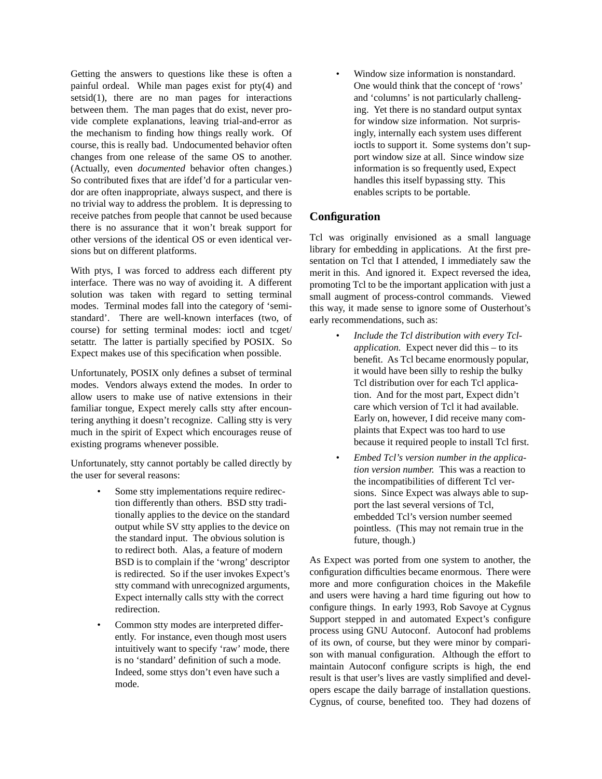Getting the answers to questions like these is often a painful ordeal. While man pages exist for pty(4) and setsid $(1)$ , there are no man pages for interactions between them. The man pages that do exist, never provide complete explanations, leaving trial-and-error as the mechanism to finding how things really work. Of course, this is really bad. Undocumented behavior often changes from one release of the same OS to another. (Actually, even *documented* behavior often changes.) So contributed fixes that are ifdef'd for a particular vendor are often inappropriate, always suspect, and there is no trivial way to address the problem. It is depressing to receive patches from people that cannot be used because there is no assurance that it won't break support for other versions of the identical OS or even identical versions but on different platforms.

With ptys, I was forced to address each different pty interface. There was no way of avoiding it. A different solution was taken with regard to setting terminal modes. Terminal modes fall into the category of 'semistandard'. There are well-known interfaces (two, of course) for setting terminal modes: ioctl and tcget/ setattr. The latter is partially specified by POSIX. So Expect makes use of this specification when possible.

Unfortunately, POSIX only defines a subset of terminal modes. Vendors always extend the modes. In order to allow users to make use of native extensions in their familiar tongue, Expect merely calls stty after encountering anything it doesn't recognize. Calling stty is very much in the spirit of Expect which encourages reuse of existing programs whenever possible.

Unfortunately, stty cannot portably be called directly by the user for several reasons:

- Some stty implementations require redirection differently than others. BSD stty traditionally applies to the device on the standard output while SV stty applies to the device on the standard input. The obvious solution is to redirect both. Alas, a feature of modern BSD is to complain if the 'wrong' descriptor is redirected. So if the user invokes Expect's stty command with unrecognized arguments, Expect internally calls stty with the correct redirection.
- Common stty modes are interpreted differently. For instance, even though most users intuitively want to specify 'raw' mode, there is no 'standard' definition of such a mode. Indeed, some sttys don't even have such a mode.

Window size information is nonstandard. One would think that the concept of 'rows' and 'columns' is not particularly challenging. Yet there is no standard output syntax for window size information. Not surprisingly, internally each system uses different ioctls to support it. Some systems don't support window size at all. Since window size information is so frequently used, Expect handles this itself bypassing stty. This enables scripts to be portable.

## **Configuration**

Tcl was originally envisioned as a small language library for embedding in applications. At the first presentation on Tcl that I attended, I immediately saw the merit in this. And ignored it. Expect reversed the idea, promoting Tcl to be the important application with just a small augment of process-control commands. Viewed this way, it made sense to ignore some of Ousterhout's early recommendations, such as:

- *Include the Tcl distribution with every Tclapplication.* Expect never did this – to its benefit. As Tcl became enormously popular, it would have been silly to reship the bulky Tcl distribution over for each Tcl application. And for the most part, Expect didn't care which version of Tcl it had available. Early on, however, I did receive many complaints that Expect was too hard to use because it required people to install Tcl first.
- *Embed Tcl's version number in the application version number.* This was a reaction to the incompatibilities of different Tcl versions. Since Expect was always able to support the last several versions of Tcl, embedded Tcl's version number seemed pointless. (This may not remain true in the future, though.)

As Expect was ported from one system to another, the configuration difficulties became enormous. There were more and more configuration choices in the Makefile and users were having a hard time figuring out how to configure things. In early 1993, Rob Savoye at Cygnus Support stepped in and automated Expect's configure process using GNU Autoconf. Autoconf had problems of its own, of course, but they were minor by comparison with manual configuration. Although the effort to maintain Autoconf configure scripts is high, the end result is that user's lives are vastly simplified and developers escape the daily barrage of installation questions. Cygnus, of course, benefited too. They had dozens of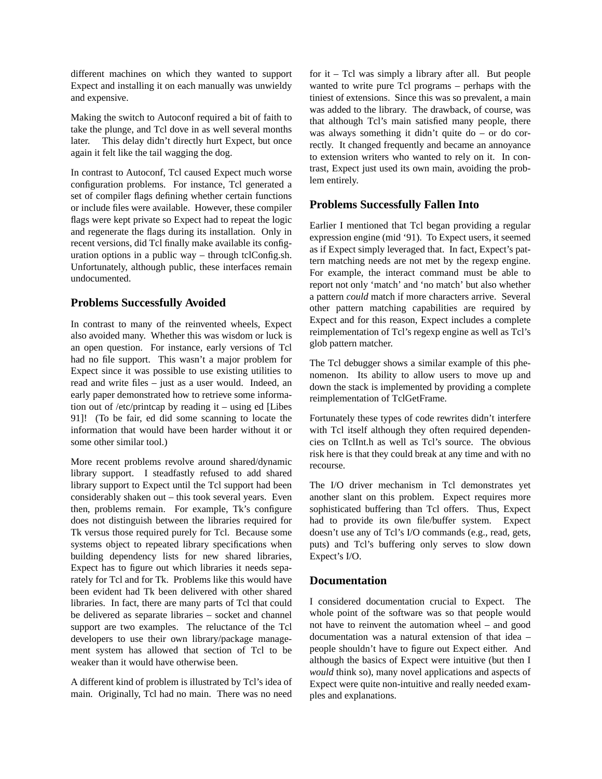different machines on which they wanted to support Expect and installing it on each manually was unwieldy and expensive.

Making the switch to Autoconf required a bit of faith to take the plunge, and Tcl dove in as well several months later. This delay didn't directly hurt Expect, but once again it felt like the tail wagging the dog.

In contrast to Autoconf, Tcl caused Expect much worse configuration problems. For instance, Tcl generated a set of compiler flags defining whether certain functions or include files were available. However, these compiler flags were kept private so Expect had to repeat the logic and regenerate the flags during its installation. Only in recent versions, did Tcl finally make available its configuration options in a public way – through tclConfig.sh. Unfortunately, although public, these interfaces remain undocumented.

### **Problems Successfully Avoided**

In contrast to many of the reinvented wheels, Expect also avoided many. Whether this was wisdom or luck is an open question. For instance, early versions of Tcl had no file support. This wasn't a major problem for Expect since it was possible to use existing utilities to read and write files – just as a user would. Indeed, an early paper demonstrated how to retrieve some information out of /etc/printcap by reading it – using ed [Libes 91]! (To be fair, ed did some scanning to locate the information that would have been harder without it or some other similar tool.)

More recent problems revolve around shared/dynamic library support. I steadfastly refused to add shared library support to Expect until the Tcl support had been considerably shaken out – this took several years. Even then, problems remain. For example, Tk's configure does not distinguish between the libraries required for Tk versus those required purely for Tcl. Because some systems object to repeated library specifications when building dependency lists for new shared libraries, Expect has to figure out which libraries it needs separately for Tcl and for Tk. Problems like this would have been evident had Tk been delivered with other shared libraries. In fact, there are many parts of Tcl that could be delivered as separate libraries – socket and channel support are two examples. The reluctance of the Tcl developers to use their own library/package management system has allowed that section of Tcl to be weaker than it would have otherwise been.

A different kind of problem is illustrated by Tcl's idea of main. Originally, Tcl had no main. There was no need

for it – Tcl was simply a library after all. But people wanted to write pure Tcl programs – perhaps with the tiniest of extensions. Since this was so prevalent, a main was added to the library. The drawback, of course, was that although Tcl's main satisfied many people, there was always something it didn't quite do – or do correctly. It changed frequently and became an annoyance to extension writers who wanted to rely on it. In contrast, Expect just used its own main, avoiding the problem entirely.

## **Problems Successfully Fallen Into**

Earlier I mentioned that Tcl began providing a regular expression engine (mid '91). To Expect users, it seemed as if Expect simply leveraged that. In fact, Expect's pattern matching needs are not met by the regexp engine. For example, the interact command must be able to report not only 'match' and 'no match' but also whether a pattern *could* match if more characters arrive. Several other pattern matching capabilities are required by Expect and for this reason, Expect includes a complete reimplementation of Tcl's regexp engine as well as Tcl's glob pattern matcher.

The Tcl debugger shows a similar example of this phenomenon. Its ability to allow users to move up and down the stack is implemented by providing a complete reimplementation of TclGetFrame.

Fortunately these types of code rewrites didn't interfere with Tcl itself although they often required dependencies on TclInt.h as well as Tcl's source. The obvious risk here is that they could break at any time and with no recourse.

The I/O driver mechanism in Tcl demonstrates yet another slant on this problem. Expect requires more sophisticated buffering than Tcl offers. Thus, Expect had to provide its own file/buffer system. Expect doesn't use any of Tcl's I/O commands (e.g., read, gets, puts) and Tcl's buffering only serves to slow down Expect's I/O.

#### **Documentation**

I considered documentation crucial to Expect. The whole point of the software was so that people would not have to reinvent the automation wheel – and good documentation was a natural extension of that idea – people shouldn't have to figure out Expect either. And although the basics of Expect were intuitive (but then I *would* think so), many novel applications and aspects of Expect were quite non-intuitive and really needed examples and explanations.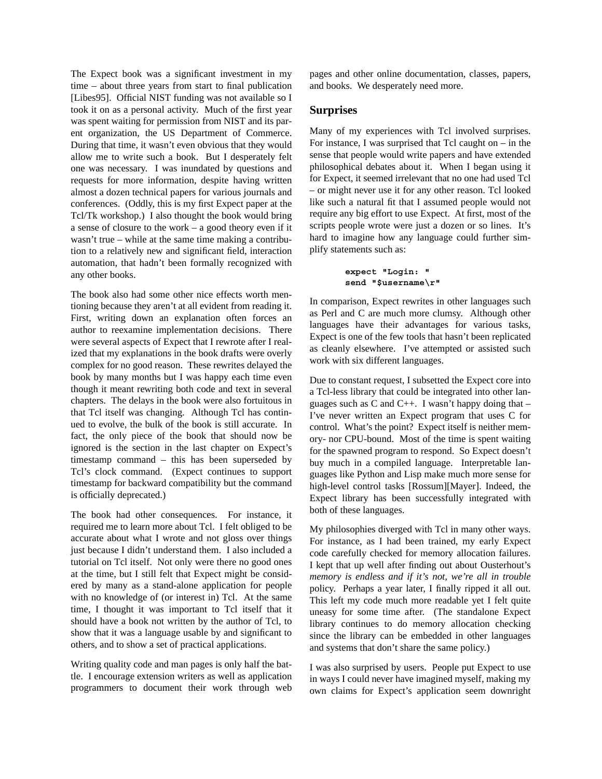The Expect book was a significant investment in my time – about three years from start to final publication [Libes95]. Official NIST funding was not available so I took it on as a personal activity. Much of the first year was spent waiting for permission from NIST and its parent organization, the US Department of Commerce. During that time, it wasn't even obvious that they would allow me to write such a book. But I desperately felt one was necessary. I was inundated by questions and requests for more information, despite having written almost a dozen technical papers for various journals and conferences. (Oddly, this is my first Expect paper at the Tcl/Tk workshop.) I also thought the book would bring a sense of closure to the work – a good theory even if it wasn't true – while at the same time making a contribution to a relatively new and significant field, interaction automation, that hadn't been formally recognized with any other books.

The book also had some other nice effects worth mentioning because they aren't at all evident from reading it. First, writing down an explanation often forces an author to reexamine implementation decisions. There were several aspects of Expect that I rewrote after I realized that my explanations in the book drafts were overly complex for no good reason. These rewrites delayed the book by many months but I was happy each time even though it meant rewriting both code and text in several chapters. The delays in the book were also fortuitous in that Tcl itself was changing. Although Tcl has continued to evolve, the bulk of the book is still accurate. In fact, the only piece of the book that should now be ignored is the section in the last chapter on Expect's timestamp command – this has been superseded by Tcl's clock command. (Expect continues to support timestamp for backward compatibility but the command is officially deprecated.)

The book had other consequences. For instance, it required me to learn more about Tcl. I felt obliged to be accurate about what I wrote and not gloss over things just because I didn't understand them. I also included a tutorial on Tcl itself. Not only were there no good ones at the time, but I still felt that Expect might be considered by many as a stand-alone application for people with no knowledge of (or interest in) Tcl. At the same time, I thought it was important to Tcl itself that it should have a book not written by the author of Tcl, to show that it was a language usable by and significant to others, and to show a set of practical applications.

Writing quality code and man pages is only half the battle. I encourage extension writers as well as application programmers to document their work through web pages and other online documentation, classes, papers, and books. We desperately need more.

#### **Surprises**

Many of my experiences with Tcl involved surprises. For instance, I was surprised that Tcl caught on  $-$  in the sense that people would write papers and have extended philosophical debates about it. When I began using it for Expect, it seemed irrelevant that no one had used Tcl – or might never use it for any other reason. Tcl looked like such a natural fit that I assumed people would not require any big effort to use Expect. At first, most of the scripts people wrote were just a dozen or so lines. It's hard to imagine how any language could further simplify statements such as:

```
expect "Login: "
send "$username\r"
```
In comparison, Expect rewrites in other languages such as Perl and C are much more clumsy. Although other languages have their advantages for various tasks, Expect is one of the few tools that hasn't been replicated as cleanly elsewhere. I've attempted or assisted such work with six different languages.

Due to constant request, I subsetted the Expect core into a Tcl-less library that could be integrated into other languages such as C and C++. I wasn't happy doing that  $-$ I've never written an Expect program that uses C for control. What's the point? Expect itself is neither memory- nor CPU-bound. Most of the time is spent waiting for the spawned program to respond. So Expect doesn't buy much in a compiled language. Interpretable languages like Python and Lisp make much more sense for high-level control tasks [Rossum][Mayer]. Indeed, the Expect library has been successfully integrated with both of these languages.

My philosophies diverged with Tcl in many other ways. For instance, as I had been trained, my early Expect code carefully checked for memory allocation failures. I kept that up well after finding out about Ousterhout's *memory is endless and if it's not, we're all in trouble* policy. Perhaps a year later, I finally ripped it all out. This left my code much more readable yet I felt quite uneasy for some time after. (The standalone Expect library continues to do memory allocation checking since the library can be embedded in other languages and systems that don't share the same policy.)

I was also surprised by users. People put Expect to use in ways I could never have imagined myself, making my own claims for Expect's application seem downright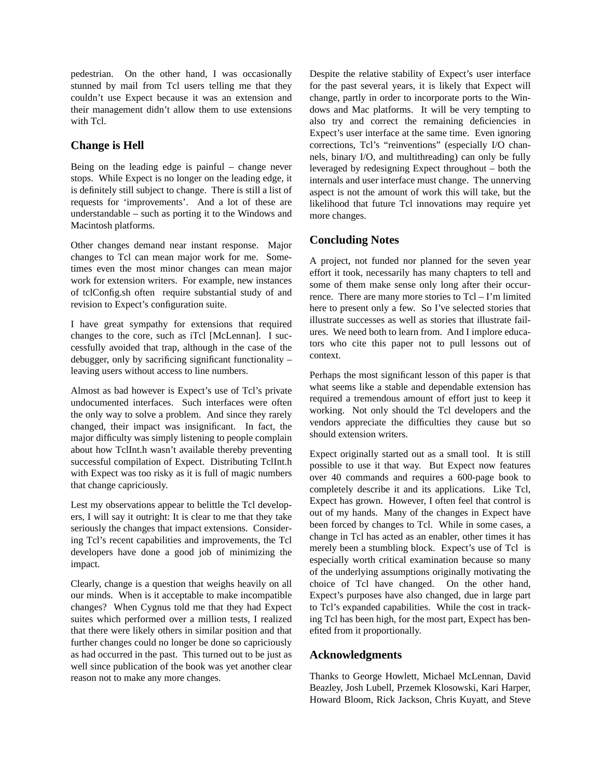pedestrian. On the other hand, I was occasionally stunned by mail from Tcl users telling me that they couldn't use Expect because it was an extension and their management didn't allow them to use extensions with Tcl.

## **Change is Hell**

Being on the leading edge is painful – change never stops. While Expect is no longer on the leading edge, it is definitely still subject to change. There is still a list of requests for 'improvements'. And a lot of these are understandable – such as porting it to the Windows and Macintosh platforms.

Other changes demand near instant response. Major changes to Tcl can mean major work for me. Sometimes even the most minor changes can mean major work for extension writers. For example, new instances of tclConfig.sh often require substantial study of and revision to Expect's configuration suite.

I have great sympathy for extensions that required changes to the core, such as iTcl [McLennan]. I successfully avoided that trap, although in the case of the debugger, only by sacrificing significant functionality – leaving users without access to line numbers.

Almost as bad however is Expect's use of Tcl's private undocumented interfaces. Such interfaces were often the only way to solve a problem. And since they rarely changed, their impact was insignificant. In fact, the major difficulty was simply listening to people complain about how TclInt.h wasn't available thereby preventing successful compilation of Expect. Distributing TclInt.h with Expect was too risky as it is full of magic numbers that change capriciously.

Lest my observations appear to belittle the Tcl developers, I will say it outright: It is clear to me that they take seriously the changes that impact extensions. Considering Tcl's recent capabilities and improvements, the Tcl developers have done a good job of minimizing the impact.

Clearly, change is a question that weighs heavily on all our minds. When is it acceptable to make incompatible changes? When Cygnus told me that they had Expect suites which performed over a million tests, I realized that there were likely others in similar position and that further changes could no longer be done so capriciously as had occurred in the past. This turned out to be just as well since publication of the book was yet another clear reason not to make any more changes.

Despite the relative stability of Expect's user interface for the past several years, it is likely that Expect will change, partly in order to incorporate ports to the Windows and Mac platforms. It will be very tempting to also try and correct the remaining deficiencies in Expect's user interface at the same time. Even ignoring corrections, Tcl's "reinventions" (especially I/O channels, binary I/O, and multithreading) can only be fully leveraged by redesigning Expect throughout – both the internals and user interface must change. The unnerving aspect is not the amount of work this will take, but the likelihood that future Tcl innovations may require yet more changes.

## **Concluding Notes**

A project, not funded nor planned for the seven year effort it took, necessarily has many chapters to tell and some of them make sense only long after their occurrence. There are many more stories to Tcl – I'm limited here to present only a few. So I've selected stories that illustrate successes as well as stories that illustrate failures. We need both to learn from. And I implore educators who cite this paper not to pull lessons out of context.

Perhaps the most significant lesson of this paper is that what seems like a stable and dependable extension has required a tremendous amount of effort just to keep it working. Not only should the Tcl developers and the vendors appreciate the difficulties they cause but so should extension writers.

Expect originally started out as a small tool. It is still possible to use it that way. But Expect now features over 40 commands and requires a 600-page book to completely describe it and its applications. Like Tcl, Expect has grown. However, I often feel that control is out of my hands. Many of the changes in Expect have been forced by changes to Tcl. While in some cases, a change in Tcl has acted as an enabler, other times it has merely been a stumbling block. Expect's use of Tcl is especially worth critical examination because so many of the underlying assumptions originally motivating the choice of Tcl have changed. On the other hand, Expect's purposes have also changed, due in large part to Tcl's expanded capabilities. While the cost in tracking Tcl has been high, for the most part, Expect has benefited from it proportionally.

## **Acknowledgments**

Thanks to George Howlett, Michael McLennan, David Beazley, Josh Lubell, Przemek Klosowski, Kari Harper, Howard Bloom, Rick Jackson, Chris Kuyatt, and Steve